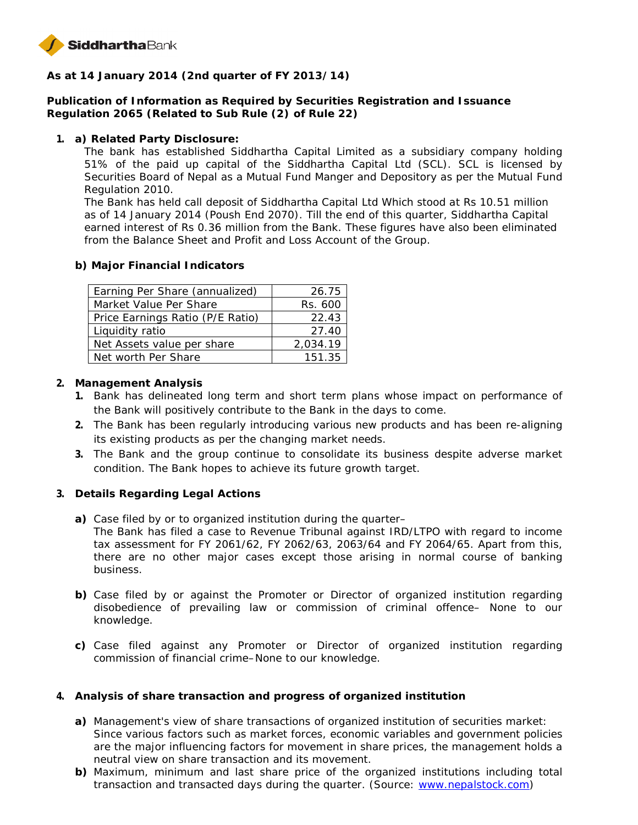

**As at 14 January 2014 (2nd quarter of FY 2013/14)**

**Publication of Information as Required by Securities Registration and Issuance Regulation 2065 (Related to Sub Rule (2) of Rule 22)**

**1. a) Related Party Disclosure:**

The bank has established Siddhartha Capital Limited as a subsidiary company holding 51% of the paid up capital of the Siddhartha Capital Ltd (SCL). SCL is licensed by Securities Board of Nepal as a Mutual Fund Manger and Depository as per the Mutual Fund Regulation 2010.

The Bank has held call deposit of Siddhartha Capital Ltd Which stood at Rs 10.51 million as of 14 January 2014 (Poush End 2070). Till the end of this quarter, Siddhartha Capital earned interest of Rs 0.36 million from the Bank. These figures have also been eliminated from the Balance Sheet and Profit and Loss Account of the Group.

**b) Major Financial Indicators**

| Earning Per Share (annualized)   | 26.75    |
|----------------------------------|----------|
| Market Value Per Share           | Rs. 600  |
| Price Earnings Ratio (P/E Ratio) | 22.43    |
| Liquidity ratio                  | 27.40    |
| Net Assets value per share       | 2,034.19 |
| Net worth Per Share              | 151.35   |

- **2. Management Analysis**
	- **1.** Bank has delineated long term and short term plans whose impact on performance of the Bank will positively contribute to the Bank in the days to come.
	- **2.** The Bank has been regularly introducing various new products and has been re-aligning its existing products as per the changing market needs.
	- **3.** The Bank and the group continue to consolidate its business despite adverse market condition. The Bank hopes to achieve its future growth target.
- **3. Details Regarding Legal Actions**
	- **a)** Case filed by or to organized institution during the quarter–
		- The Bank has filed a case to Revenue Tribunal against IRD/LTPO with regard to income tax assessment for FY 2061/62, FY 2062/63, 2063/64 and FY 2064/65. Apart from this, there are no other major cases except those arising in normal course of banking business.
	- **b)** Case filed by or against the Promoter or Director of organized institution regarding disobedience of prevailing law or commission of criminal offence– None to our knowledge.
	- **c)** Case filed against any Promoter or Director of organized institution regarding commission of financial crime–None to our knowledge.
- **4. Analysis of share transaction and progress of organized institution**
	- **a)** Management's view of share transactions of organized institution of securities market: Since various factors such as market forces, economic variables and government policies are the major influencing factors for movement in share prices, the management holds a neutral view on share transaction and its movement.
	- **b)** Maximum, minimum and last share price of the organized institutions including total transaction and transacted days during the quarter. (Source: www.nepalstock.com)